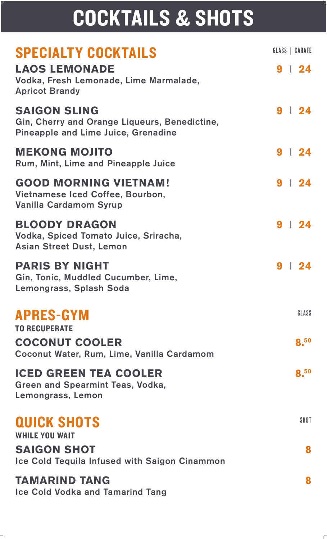# COCKTAILS & SHOTS

## SPECIALTY COCKTAILS

#### **LAOS LEMONADE 9** | **24**

Vodka, Fresh Lemonade, Lime Marmalade, Apricot Brandy

#### **SAIGON SLING 9** | **24**

Gin, Cherry and Orange Liqueurs, Benedictine, Pineapple and Lime Juice, Grenadine

#### **MEKONG MOJITO 9** | **24**

Rum, Mint, Lime and Pineapple Juice

#### **GOOD MORNING VIETNAM! 9** | **24**

Vietnamese Iced Coffee, Bourbon, Vanilla Cardamom Syrup

#### **BLOODY DRAGON 9** | **24**

Vodka, Spiced Tomato Juice, Sriracha, Asian Street Dust, Lemon

#### **PARIS BY NIGHT 9** | **24**

Gin, Tonic, Muddled Cucumber, Lime, Lemongrass, Splash Soda

#### APRES-GYM TO RECUPERATE

#### **COCONUT COOLER 8.50** Coconut Water, Rum, Lime, Vanilla Cardamom

#### **ICED GREEN TEA COOLER 8.50**

Green and Spearmint Teas, Vodka, Lemongrass, Lemon

## QUICK SHOTS

WHILE YOU WAIT

#### **SAIGON SHOT 8**

Ice Cold Tequila Infused with Saigon Cinammon

### **TAMARIND TANG 8**

Ice Cold Vodka and Tamarind Tang

GLASS | CARAFE

GLASS

**SHOT**